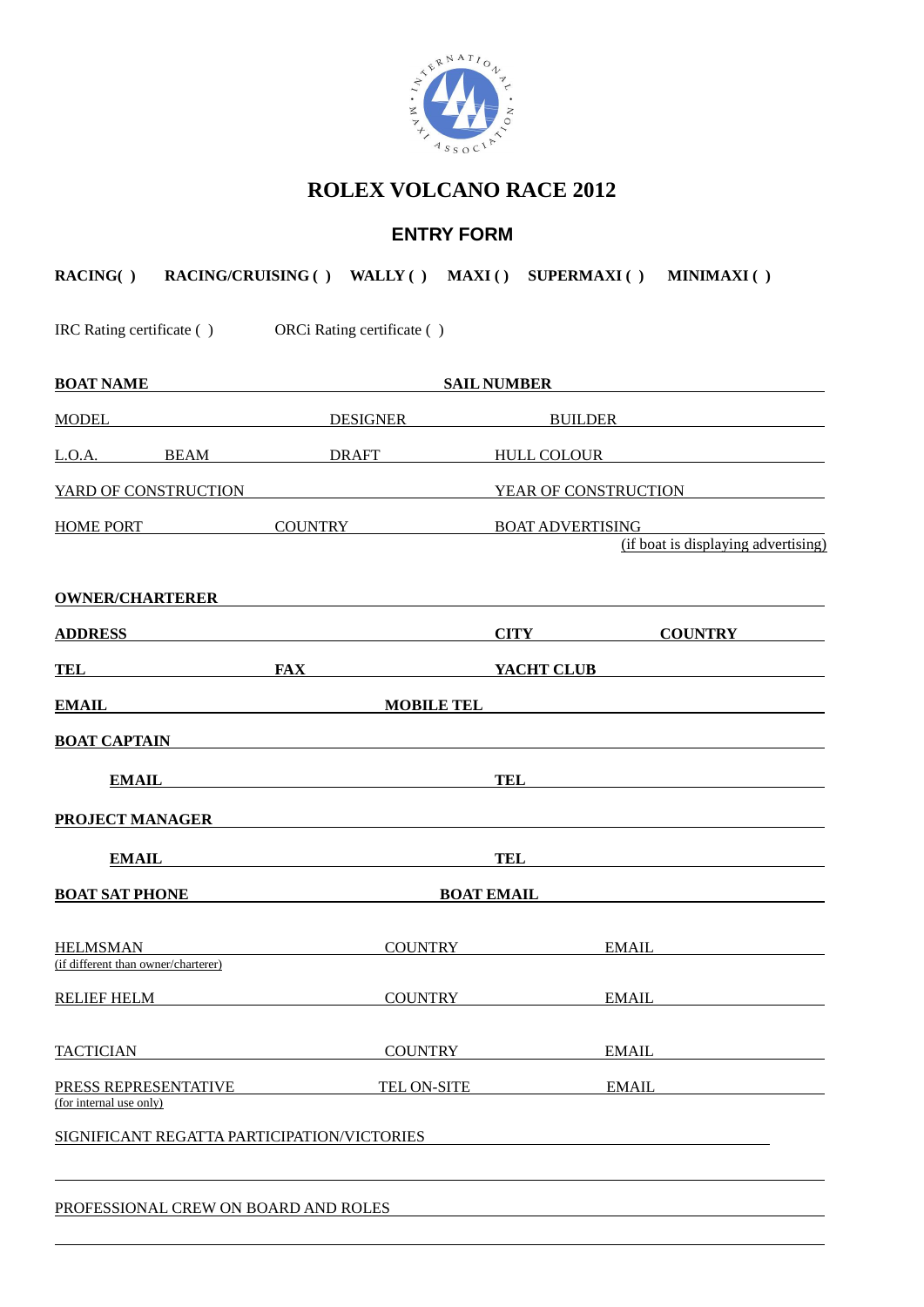

# **ROLEX VOLCANO RACE 2012**

# **ENTRY FORM**

|                                                 |                                                           | RACING() RACING/CRUISING () WALLY () MAXI () SUPERMAXI () MINIMAXI ()                                                                                                                                                                |  |
|-------------------------------------------------|-----------------------------------------------------------|--------------------------------------------------------------------------------------------------------------------------------------------------------------------------------------------------------------------------------------|--|
|                                                 | IRC Rating certificate ( ) ORCi Rating certificate ( )    |                                                                                                                                                                                                                                      |  |
|                                                 | <b>BOAT NAME SAIL NUMBER</b> SAIL NUMBER                  |                                                                                                                                                                                                                                      |  |
|                                                 |                                                           |                                                                                                                                                                                                                                      |  |
|                                                 |                                                           | L.O.A. BEAM DRAFT HULL COLOUR                                                                                                                                                                                                        |  |
|                                                 |                                                           | YARD OF CONSTRUCTION YEAR OF CONSTRUCTION                                                                                                                                                                                            |  |
|                                                 | HOME PORT COUNTRY BOAT ADVERTISING                        | (if boat is displaying advertising)                                                                                                                                                                                                  |  |
|                                                 |                                                           | OWNER/CHARTERER <b>Experimental CONSTRUCT CONSTRUCTS</b>                                                                                                                                                                             |  |
|                                                 | ADDRESS ADDRESS                                           | <b>CITY COUNTRY</b>                                                                                                                                                                                                                  |  |
|                                                 |                                                           | TEL FAX VACHT CLUB                                                                                                                                                                                                                   |  |
|                                                 |                                                           | <b>EMAIL</b> MOBILE TEL                                                                                                                                                                                                              |  |
|                                                 | BOAT CAPTAIN                                              |                                                                                                                                                                                                                                      |  |
|                                                 | EMAIL <b>EMAIL</b>                                        |                                                                                                                                                                                                                                      |  |
|                                                 |                                                           | PROJECT MANAGER <b>FROM A SERVICE OF A SERVICE OF A SERVICE OF A SERVICE OF A SERVICE OF A SERVICE OF A SERVICE OF A SERVICE OF A SERVICE OF A SERVICE OF A SERVICE OF A SERVICE OF A SERVICE OF A SERVICE OF A SERVICE OF A SER</b> |  |
|                                                 | EMAIL <b>EMAIL</b>                                        | <b>TEL</b>                                                                                                                                                                                                                           |  |
|                                                 | <u>BOAT SAT PHONE BOAT EMAIL BOAT COME BOAT SAT PHONE</u> |                                                                                                                                                                                                                                      |  |
| (if different than owner/charterer)             | HELMSMAN COUNTRY                                          | <b>EMAIL</b>                                                                                                                                                                                                                         |  |
| <b>RELIEF HELM</b>                              | <b>COUNTRY</b>                                            | <b>EMAIL</b>                                                                                                                                                                                                                         |  |
| <b>TACTICIAN</b>                                | <b>COUNTRY</b>                                            | <b>EMAIL</b>                                                                                                                                                                                                                         |  |
| PRESS REPRESENTATIVE<br>(for internal use only) | TEL ON-SITE                                               | <b>EMAIL</b>                                                                                                                                                                                                                         |  |
| SIGNIFICANT REGATTA PARTICIPATION/VICTORIES     |                                                           |                                                                                                                                                                                                                                      |  |
| PROFESSIONAL CREW ON BOARD AND ROLES            |                                                           |                                                                                                                                                                                                                                      |  |